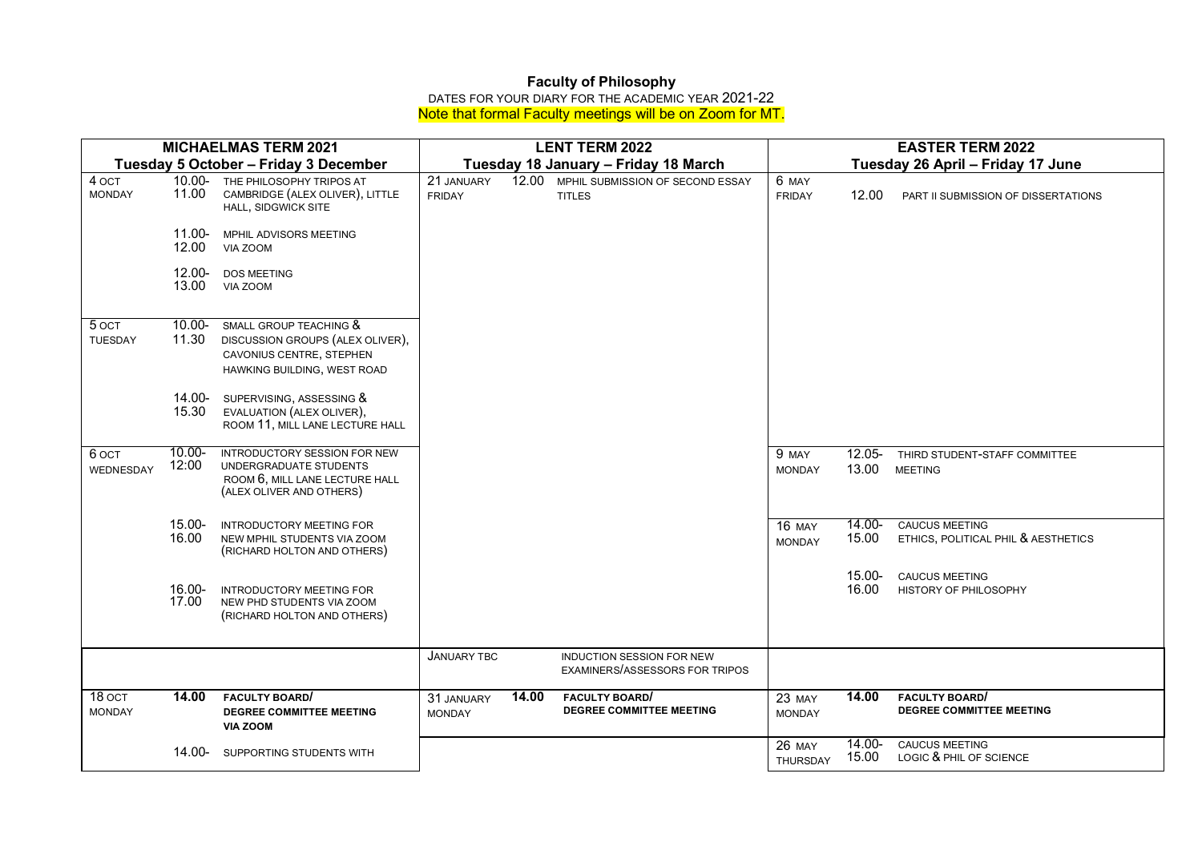## **Faculty of Philosophy**

DATES FOR YOUR DIARY FOR THE ACADEMIC YEAR 2021-22 Note that formal Faculty meetings will be on Zoom for MT.

| <b>MICHAELMAS TERM 2021</b>           |                    |                                                                                                                       |                             | <b>LENT TERM 2022</b>                | <b>EASTER TERM 2022</b>                                            |                                  |                    |                                                              |
|---------------------------------------|--------------------|-----------------------------------------------------------------------------------------------------------------------|-----------------------------|--------------------------------------|--------------------------------------------------------------------|----------------------------------|--------------------|--------------------------------------------------------------|
| Tuesday 5 October - Friday 3 December |                    |                                                                                                                       |                             | Tuesday 18 January - Friday 18 March | Tuesday 26 April - Friday 17 June                                  |                                  |                    |                                                              |
| 4 OCT<br><b>MONDAY</b>                | 11.00              | 10.00- THE PHILOSOPHY TRIPOS AT<br>CAMBRIDGE (ALEX OLIVER), LITTLE<br>HALL, SIDGWICK SITE                             | 21 JANUARY<br><b>FRIDAY</b> | 12.00                                | MPHIL SUBMISSION OF SECOND ESSAY<br><b>TITLES</b>                  | 6 MAY<br><b>FRIDAY</b>           | 12.00              | PART II SUBMISSION OF DISSERTATIONS                          |
|                                       | 11.00-<br>12.00    | MPHIL ADVISORS MEETING<br>VIA ZOOM                                                                                    |                             |                                      |                                                                    |                                  |                    |                                                              |
|                                       | $12.00 -$<br>13.00 | <b>DOS MEETING</b><br>VIA ZOOM                                                                                        |                             |                                      |                                                                    |                                  |                    |                                                              |
| 5 OCT<br><b>TUESDAY</b>               | $10.00 -$<br>11.30 | SMALL GROUP TEACHING &<br>DISCUSSION GROUPS (ALEX OLIVER),<br>CAVONIUS CENTRE, STEPHEN<br>HAWKING BUILDING, WEST ROAD |                             |                                      |                                                                    |                                  |                    |                                                              |
|                                       | 14.00-<br>15.30    | SUPERVISING, ASSESSING &<br>EVALUATION (ALEX OLIVER),<br>ROOM 11, MILL LANE LECTURE HALL                              |                             |                                      |                                                                    |                                  |                    |                                                              |
| 6 ост<br>WEDNESDAY                    | $10.00 -$<br>12:00 | INTRODUCTORY SESSION FOR NEW<br>UNDERGRADUATE STUDENTS<br>ROOM 6, MILL LANE LECTURE HALL<br>(ALEX OLIVER AND OTHERS)  |                             |                                      |                                                                    | 9 MAY<br><b>MONDAY</b>           | $12.05 -$<br>13.00 | THIRD STUDENT-STAFF COMMITTEE<br><b>MEETING</b>              |
|                                       | 15.00-<br>16.00    | <b>INTRODUCTORY MEETING FOR</b><br>NEW MPHIL STUDENTS VIA ZOOM<br>(RICHARD HOLTON AND OTHERS)                         |                             |                                      |                                                                    | <b>16 MAY</b><br><b>MONDAY</b>   | 14.00-<br>15.00    | <b>CAUCUS MEETING</b><br>ETHICS, POLITICAL PHIL & AESTHETICS |
|                                       | $16.00 -$<br>17.00 | INTRODUCTORY MEETING FOR<br>NEW PHD STUDENTS VIA ZOOM<br>(RICHARD HOLTON AND OTHERS)                                  |                             |                                      |                                                                    |                                  | 15.00-<br>16.00    | <b>CAUCUS MEETING</b><br>HISTORY OF PHILOSOPHY               |
|                                       |                    |                                                                                                                       | <b>JANUARY TBC</b>          |                                      | <b>INDUCTION SESSION FOR NEW</b><br>EXAMINERS/ASSESSORS FOR TRIPOS |                                  |                    |                                                              |
| 18 OCT<br><b>MONDAY</b>               | 14.00              | <b>FACULTY BOARD</b><br><b>DEGREE COMMITTEE MEETING</b><br><b>VIA ZOOM</b>                                            | 31 JANUARY<br><b>MONDAY</b> | 14.00                                | <b>FACULTY BOARD</b><br><b>DEGREE COMMITTEE MEETING</b>            | 23 MAY<br><b>MONDAY</b>          | 14.00              | <b>FACULTY BOARD</b><br><b>DEGREE COMMITTEE MEETING</b>      |
|                                       | 14.00-             | SUPPORTING STUDENTS WITH                                                                                              |                             |                                      |                                                                    | <b>26 MAY</b><br><b>THURSDAY</b> | $14.00 -$<br>15.00 | <b>CAUCUS MEETING</b><br>LOGIC & PHIL OF SCIENCE             |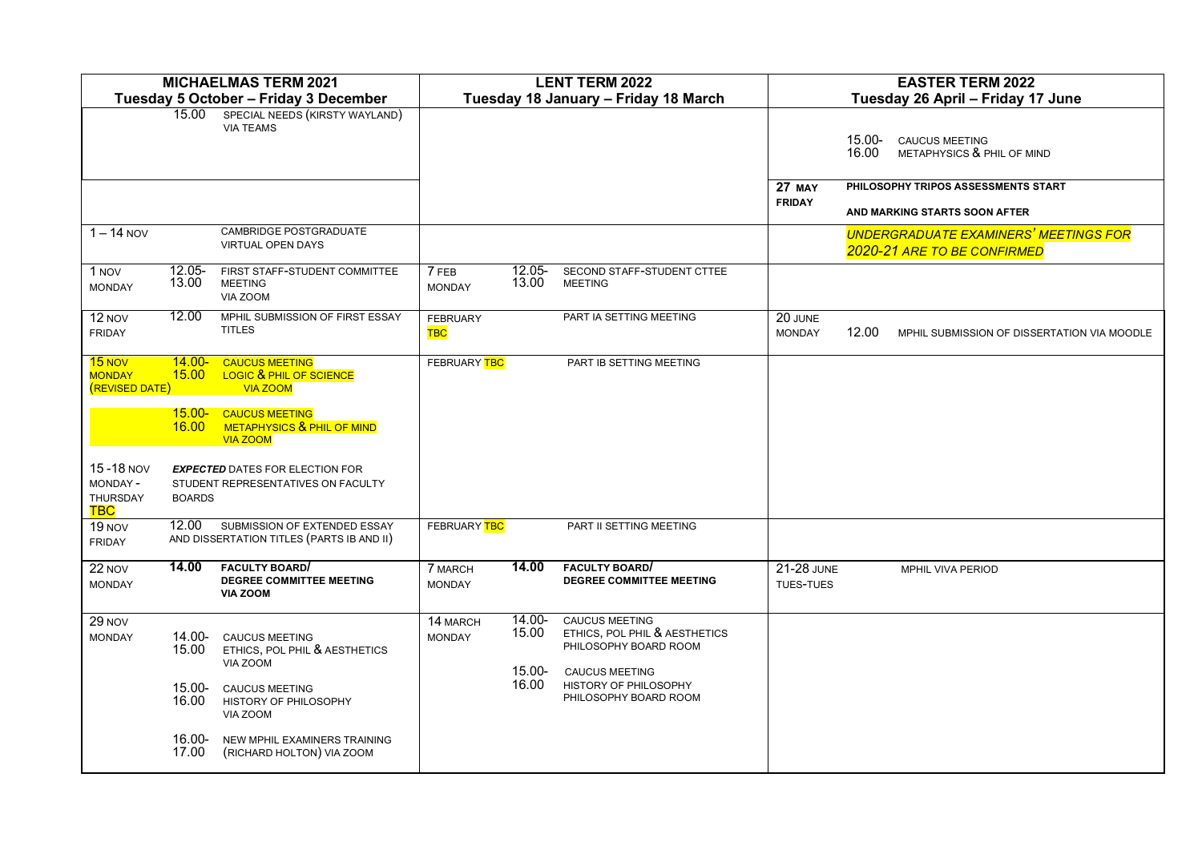| <b>MICHAELMAS TERM 2021</b><br>Tuesday 5 October - Friday 3 December |                    |                                                                                | <b>LENT TERM 2022</b><br>Tuesday 18 January - Friday 18 March |                              |                                                                                                          | <b>EASTER TERM 2022</b><br>Tuesday 26 April - Friday 17 June |                 |                                                                             |  |
|----------------------------------------------------------------------|--------------------|--------------------------------------------------------------------------------|---------------------------------------------------------------|------------------------------|----------------------------------------------------------------------------------------------------------|--------------------------------------------------------------|-----------------|-----------------------------------------------------------------------------|--|
| 15.00<br>SPECIAL NEEDS (KIRSTY WAYLAND)<br><b>VIA TEAMS</b>          |                    |                                                                                |                                                               |                              |                                                                                                          |                                                              | 15.00-<br>16.00 | <b>CAUCUS MEETING</b><br>METAPHYSICS & PHIL OF MIND                         |  |
|                                                                      |                    |                                                                                |                                                               |                              |                                                                                                          | <b>27 MAY</b><br><b>FRIDAY</b>                               |                 | PHILOSOPHY TRIPOS ASSESSMENTS START<br>AND MARKING STARTS SOON AFTER        |  |
| $1 - 14$ NOV                                                         |                    | CAMBRIDGE POSTGRADUATE<br><b>VIRTUAL OPEN DAYS</b>                             |                                                               |                              |                                                                                                          |                                                              |                 | <b>UNDERGRADUATE EXAMINERS' MEETINGS FOR</b><br>2020-21 ARE TO BE CONFIRMED |  |
| 1 NOV<br><b>MONDAY</b>                                               | $12.05 -$<br>13.00 | FIRST STAFF-STUDENT COMMITTEE<br><b>MEETING</b><br>VIA ZOOM                    | 7 FEB<br><b>MONDAY</b>                                        | $12.05 -$<br>13.00           | SECOND STAFF-STUDENT CTTEE<br><b>MEETING</b>                                                             |                                                              |                 |                                                                             |  |
| 12 NOV<br><b>FRIDAY</b>                                              | 12.00              | MPHIL SUBMISSION OF FIRST ESSAY<br><b>TITLES</b>                               | <b>FEBRUARY</b><br><b>TBC</b>                                 |                              | PART IA SETTING MEETING                                                                                  | 20 JUNE<br><b>MONDAY</b>                                     | 12.00           | MPHIL SUBMISSION OF DISSERTATION VIA MOODLE                                 |  |
| $15$ NOV<br><b>MONDAY</b><br>(REVISED DATE)                          | $14.00 -$<br>15.00 | <b>CAUCUS MEETING</b><br><b>LOGIC &amp; PHIL OF SCIENCE</b><br><b>VIA ZOOM</b> | FEBRUARY TBC                                                  |                              | PART IB SETTING MEETING                                                                                  |                                                              |                 |                                                                             |  |
|                                                                      | $15.00 -$<br>16.00 | <b>CAUCUS MEETING</b><br>METAPHYSICS & PHIL OF MIND<br><b>VIA ZOOM</b>         |                                                               |                              |                                                                                                          |                                                              |                 |                                                                             |  |
| 15-18 NOV<br>MONDAY-<br>THURSDAY<br><b>TBC</b>                       | <b>BOARDS</b>      | <b>EXPECTED DATES FOR ELECTION FOR</b><br>STUDENT REPRESENTATIVES ON FACULTY   |                                                               |                              |                                                                                                          |                                                              |                 |                                                                             |  |
| 19 NOV<br><b>FRIDAY</b>                                              | 12.00              | SUBMISSION OF EXTENDED ESSAY<br>AND DISSERTATION TITLES (PARTS IB AND II)      | FEBRUARY TBC                                                  |                              | PART II SETTING MEETING                                                                                  |                                                              |                 |                                                                             |  |
| 22 NOV<br><b>MONDAY</b>                                              | 14.00              | <b>FACULTY BOARD</b><br>DEGREE COMMITTEE MEETING<br><b>VIA ZOOM</b>            | 7 MARCH<br><b>MONDAY</b>                                      | 14.00                        | <b>FACULTY BOARD</b><br>DEGREE COMMITTEE MEETING                                                         | <b>21-28 JUNE</b><br>TUES-TUES                               |                 | MPHIL VIVA PERIOD                                                           |  |
| 29 NOV<br><b>MONDAY</b>                                              | 14.00-<br>15.00    | <b>CAUCUS MEETING</b><br>ETHICS, POL PHIL & AESTHETICS<br>VIA ZOOM             | 14 MARCH<br><b>MONDAY</b>                                     | $14.00 -$<br>15.00<br>15.00- | <b>CAUCUS MEETING</b><br>ETHICS, POL PHIL & AESTHETICS<br>PHILOSOPHY BOARD ROOM<br><b>CAUCUS MEETING</b> |                                                              |                 |                                                                             |  |
|                                                                      | 15.00-<br>16.00    | <b>CAUCUS MEETING</b><br>HISTORY OF PHILOSOPHY<br>VIA ZOOM                     |                                                               | 16.00                        | HISTORY OF PHILOSOPHY<br>PHILOSOPHY BOARD ROOM                                                           |                                                              |                 |                                                                             |  |
|                                                                      | 16.00-<br>17.00    | NEW MPHIL EXAMINERS TRAINING<br>(RICHARD HOLTON) VIA ZOOM                      |                                                               |                              |                                                                                                          |                                                              |                 |                                                                             |  |